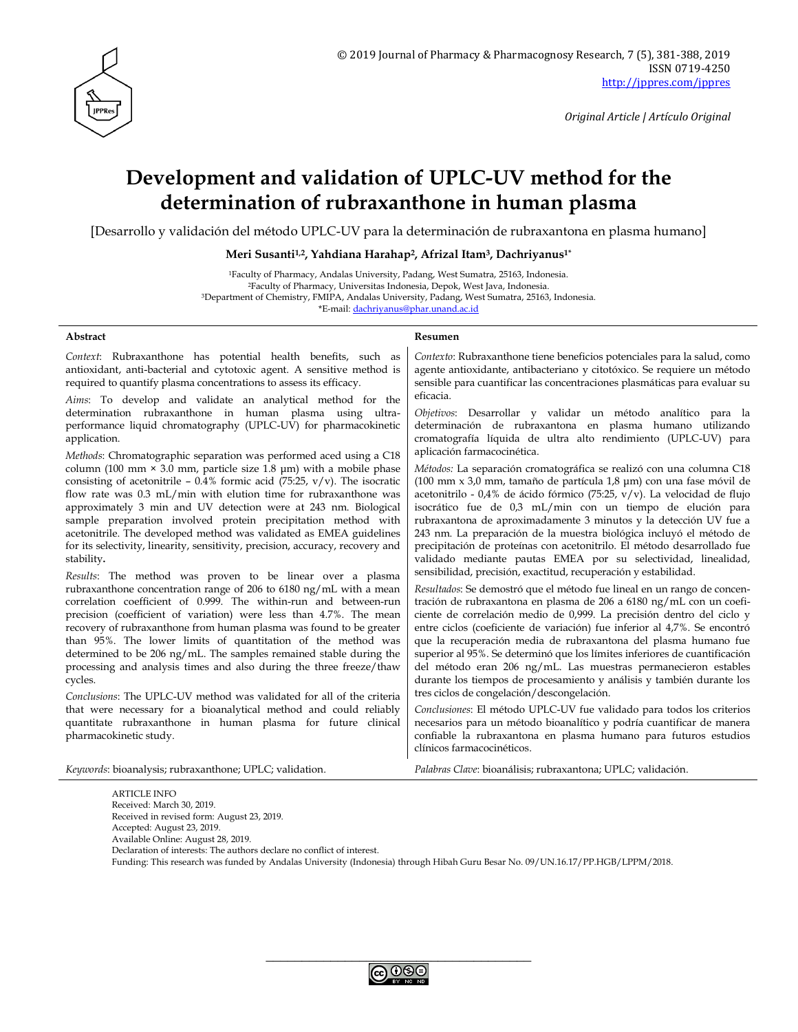

# **Development and validation of UPLC-UV method for the determination of rubraxanthone in human plasma**

[Desarrollo y validación del método UPLC-UV para la determinación de rubraxantona en plasma humano]

**Meri Susanti1,2, Yahdiana Harahap2, Afrizal Itam3, Dachriyanus1\***

| <sup>1</sup> Faculty of Pharmacy, Andalas University, Padang, West Sumatra, 25163, Indonesia.            |  |  |  |
|----------------------------------------------------------------------------------------------------------|--|--|--|
| <sup>2</sup> Faculty of Pharmacy, Universitas Indonesia, Depok, West Java, Indonesia.                    |  |  |  |
| <sup>3</sup> Department of Chemistry, FMIPA, Andalas University, Padang, West Sumatra, 25163, Indonesia. |  |  |  |
| *E-mail: dachriyanus@phar.unand.ac.id                                                                    |  |  |  |

#### **Abstract Resumen**

*Context*: Rubraxanthone has potential health benefits, such as antioxidant, anti-bacterial and cytotoxic agent. A sensitive method is required to quantify plasma concentrations to assess its efficacy.

*Aims*: To develop and validate an analytical method for the determination rubraxanthone in human plasma using ultraperformance liquid chromatography (UPLC-UV) for pharmacokinetic application.

*Methods*: Chromatographic separation was performed aced using a C18 column (100 mm  $\times$  3.0 mm, particle size 1.8 µm) with a mobile phase consisting of acetonitrile –  $0.4\%$  formic acid (75:25, v/v). The isocratic flow rate was 0.3 mL/min with elution time for rubraxanthone was approximately 3 min and UV detection were at 243 nm. Biological sample preparation involved protein precipitation method with acetonitrile. The developed method was validated as EMEA guidelines for its selectivity, linearity, sensitivity, precision, accuracy, recovery and stability**.**

*Results*: The method was proven to be linear over a plasma rubraxanthone concentration range of 206 to 6180 ng/mL with a mean correlation coefficient of 0.999. The within-run and between-run precision (coefficient of variation) were less than 4.7%. The mean recovery of rubraxanthone from human plasma was found to be greater than 95%. The lower limits of quantitation of the method was determined to be 206 ng/mL. The samples remained stable during the processing and analysis times and also during the three freeze/thaw cycles.

*Conclusions*: The UPLC-UV method was validated for all of the criteria that were necessary for a bioanalytical method and could reliably quantitate rubraxanthone in human plasma for future clinical pharmacokinetic study.

*Contexto*: Rubraxanthone tiene beneficios potenciales para la salud, como agente antioxidante, antibacteriano y citotóxico. Se requiere un método sensible para cuantificar las concentraciones plasmáticas para evaluar su eficacia.

*Objetivos*: Desarrollar y validar un método analítico para la determinación de rubraxantona en plasma humano utilizando cromatografía líquida de ultra alto rendimiento (UPLC-UV) para aplicación farmacocinética.

*Métodos:* La separación cromatográfica se realizó con una columna C18 (100 mm x 3,0 mm, tamaño de partícula 1,8 μm) con una fase móvil de acetonitrilo - 0,4% de ácido fórmico (75:25, v/v). La velocidad de flujo isocrático fue de 0,3 mL/min con un tiempo de elución para rubraxantona de aproximadamente 3 minutos y la detección UV fue a 243 nm. La preparación de la muestra biológica incluyó el método de precipitación de proteínas con acetonitrilo. El método desarrollado fue validado mediante pautas EMEA por su selectividad, linealidad, sensibilidad, precisión, exactitud, recuperación y estabilidad.

*Resultados*: Se demostró que el método fue lineal en un rango de concentración de rubraxantona en plasma de 206 a 6180 ng/mL con un coeficiente de correlación medio de 0,999. La precisión dentro del ciclo y entre ciclos (coeficiente de variación) fue inferior al 4,7%. Se encontró que la recuperación media de rubraxantona del plasma humano fue superior al 95%. Se determinó que los límites inferiores de cuantificación del método eran 206 ng/mL. Las muestras permanecieron estables durante los tiempos de procesamiento y análisis y también durante los tres ciclos de congelación/descongelación.

*Conclusiones*: El método UPLC-UV fue validado para todos los criterios necesarios para un método bioanalítico y podría cuantificar de manera confiable la rubraxantona en plasma humano para futuros estudios clínicos farmacocinéticos.

*Keywords*: bioanalysis; rubraxanthone; UPLC; validation. *Palabras Clave*: bioanálisis; rubraxantona; UPLC; validación.

ARTICLE INFO Received: March 30, 2019. Received in revised form: August 23, 2019. Accepted: August 23, 2019. Available Online: August 28, 2019. Declaration of interests: The authors declare no conflict of interest. Funding: This research was funded by Andalas University (Indonesia) through Hibah Guru Besar No. 09/UN.16.17/PP.HGB/LPPM/2018.

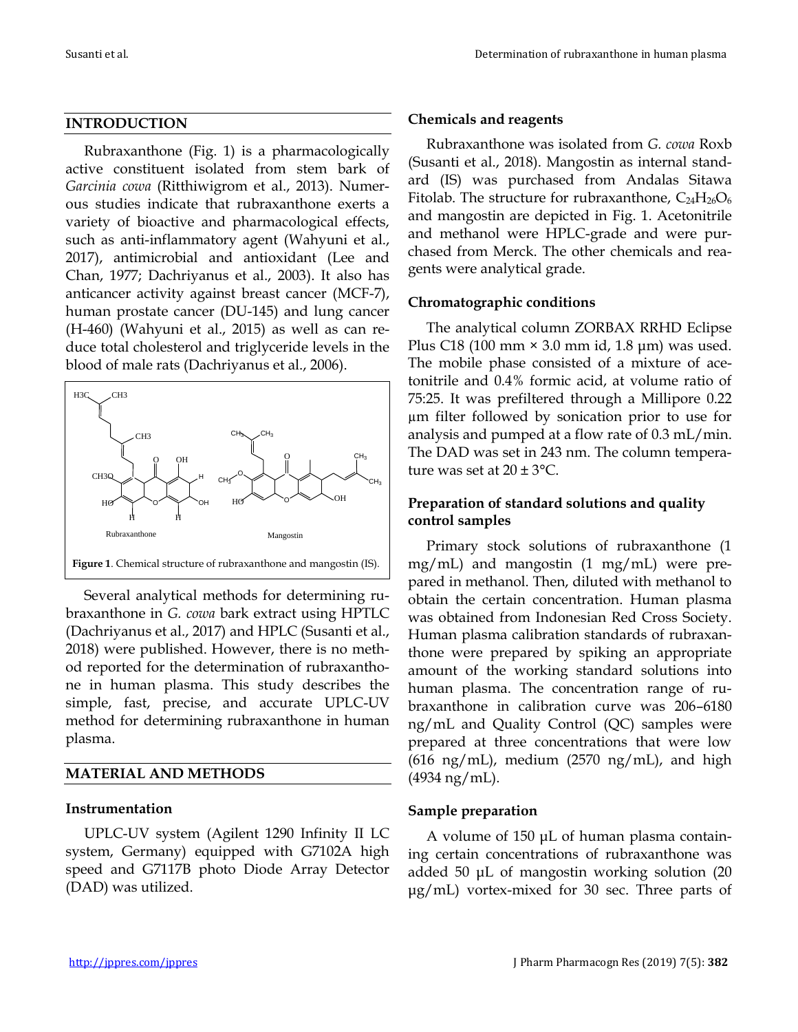#### **INTRODUCTION**

Rubraxanthone (Fig. 1) is a pharmacologically active constituent isolated from stem bark of *Garcinia cowa* (Ritthiwigrom et al., 2013). Numerous studies indicate that rubraxanthone exerts a variety of bioactive and pharmacological effects, such as anti-inflammatory agent (Wahyuni et al., 2017), antimicrobial and antioxidant (Lee and Chan, 1977; Dachriyanus et al., 2003). It also has anticancer activity against breast cancer (MCF-7), human prostate cancer (DU-145) and lung cancer (H-460) (Wahyuni et al., 2015) as well as can reduce total cholesterol and triglyceride levels in the blood of male rats (Dachriyanus et al., 2006).



Several analytical methods for determining rubraxanthone in *G. cowa* bark extract using HPTLC (Dachriyanus et al., 2017) and HPLC (Susanti et al., 2018) were published. However, there is no method reported for the determination of rubraxanthone in human plasma. This study describes the simple, fast, precise, and accurate UPLC-UV method for determining rubraxanthone in human plasma.

#### **MATERIAL AND METHODS**

#### **Instrumentation**

UPLC-UV system (Agilent 1290 Infinity II LC system, Germany) equipped with G7102A high speed and G7117B photo Diode Array Detector (DAD) was utilized.

#### **Chemicals and reagents**

Rubraxanthone was isolated from *G. cowa* Roxb (Susanti et al., 2018). Mangostin as internal standard (IS) was purchased from Andalas Sitawa Fitolab. The structure for rubraxanthone,  $C_{24}H_{26}O_6$ and mangostin are depicted in Fig. 1. Acetonitrile and methanol were HPLC-grade and were purchased from Merck. The other chemicals and reagents were analytical grade.

#### **Chromatographic conditions**

The analytical column ZORBAX RRHD Eclipse Plus C18 (100 mm  $\times$  3.0 mm id, 1.8 µm) was used. The mobile phase consisted of a mixture of acetonitrile and 0.4% formic acid, at volume ratio of 75:25. It was prefiltered through a Millipore 0.22 µm filter followed by sonication prior to use for analysis and pumped at a flow rate of 0.3 mL/min. The DAD was set in 243 nm. The column temperature was set at  $20 \pm 3$  °C.

#### **Preparation of standard solutions and quality control samples**

Primary stock solutions of rubraxanthone (1 mg/mL) and mangostin (1 mg/mL) were prepared in methanol. Then, diluted with methanol to obtain the certain concentration. Human plasma was obtained from Indonesian Red Cross Society. Human plasma calibration standards of rubraxanthone were prepared by spiking an appropriate amount of the working standard solutions into human plasma. The concentration range of rubraxanthone in calibration curve was 206–6180 ng/mL and Quality Control (QC) samples were prepared at three concentrations that were low  $(616 \text{ ng/mL})$ , medium  $(2570 \text{ ng/mL})$ , and high (4934 ng/mL).

#### **Sample preparation**

A volume of 150 μL of human plasma containing certain concentrations of rubraxanthone was added 50 μL of mangostin working solution (20 μg/mL) vortex-mixed for 30 sec. Three parts of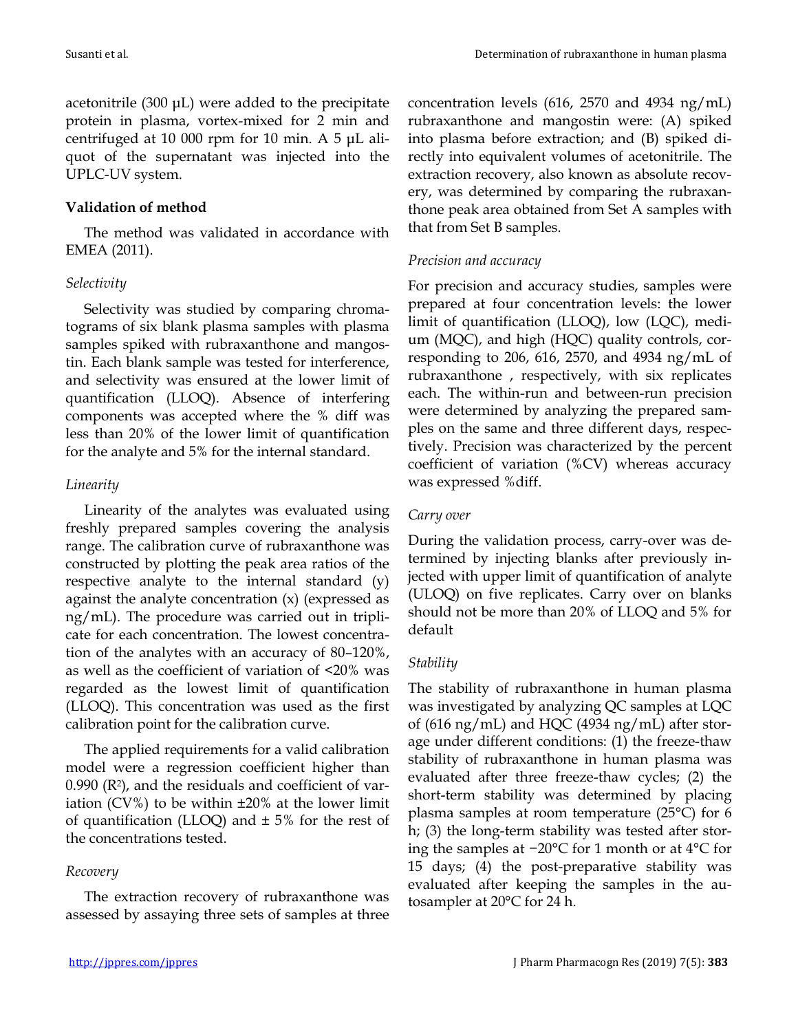acetonitrile (300 μL) were added to the precipitate protein in plasma, vortex-mixed for 2 min and centrifuged at 10 000 rpm for 10 min. A 5 μL aliquot of the supernatant was injected into the UPLC-UV system.

# **Validation of method**

The method was validated in accordance with EMEA (2011).

#### *Selectivity*

Selectivity was studied by comparing chromatograms of six blank plasma samples with plasma samples spiked with rubraxanthone and mangostin. Each blank sample was tested for interference, and selectivity was ensured at the lower limit of quantification (LLOQ). Absence of interfering components was accepted where the % diff was less than 20% of the lower limit of quantification for the analyte and 5% for the internal standard.

# *Linearity*

Linearity of the analytes was evaluated using freshly prepared samples covering the analysis range. The calibration curve of rubraxanthone was constructed by plotting the peak area ratios of the respective analyte to the internal standard (y) against the analyte concentration (x) (expressed as ng/mL). The procedure was carried out in triplicate for each concentration. The lowest concentration of the analytes with an accuracy of 80–120%, as well as the coefficient of variation of <20% was regarded as the lowest limit of quantification (LLOQ). This concentration was used as the first calibration point for the calibration curve.

The applied requirements for a valid calibration model were a regression coefficient higher than  $0.990$  ( $R<sup>2</sup>$ ), and the residuals and coefficient of variation (CV%) to be within  $\pm 20\%$  at the lower limit of quantification (LLOQ) and  $\pm$  5% for the rest of the concentrations tested.

# *Recovery*

The extraction recovery of rubraxanthone was assessed by assaying three sets of samples at three concentration levels (616, 2570 and 4934 ng/mL) rubraxanthone and mangostin were: (A) spiked into plasma before extraction; and (B) spiked directly into equivalent volumes of acetonitrile. The extraction recovery, also known as absolute recovery, was determined by comparing the rubraxanthone peak area obtained from Set A samples with that from Set B samples.

# *Precision and accuracy*

For precision and accuracy studies, samples were prepared at four concentration levels: the lower limit of quantification (LLOQ), low (LQC), medium (MQC), and high (HQC) quality controls, corresponding to 206, 616, 2570, and 4934 ng/mL of rubraxanthone , respectively, with six replicates each. The within-run and between-run precision were determined by analyzing the prepared samples on the same and three different days, respectively. Precision was characterized by the percent coefficient of variation (%CV) whereas accuracy was expressed %diff.

# *Carry over*

During the validation process, carry-over was determined by injecting blanks after previously injected with upper limit of quantification of analyte (ULOQ) on five replicates. Carry over on blanks should not be more than 20% of LLOQ and 5% for default

# *Stability*

The stability of rubraxanthone in human plasma was investigated by analyzing QC samples at LQC of (616 ng/mL) and HQC (4934 ng/mL) after storage under different conditions: (1) the freeze-thaw stability of rubraxanthone in human plasma was evaluated after three freeze-thaw cycles; (2) the short-term stability was determined by placing plasma samples at room temperature (25°C) for 6 h; (3) the long-term stability was tested after storing the samples at −20°C for 1 month or at 4°C for 15 days; (4) the post-preparative stability was evaluated after keeping the samples in the autosampler at 20°C for 24 h.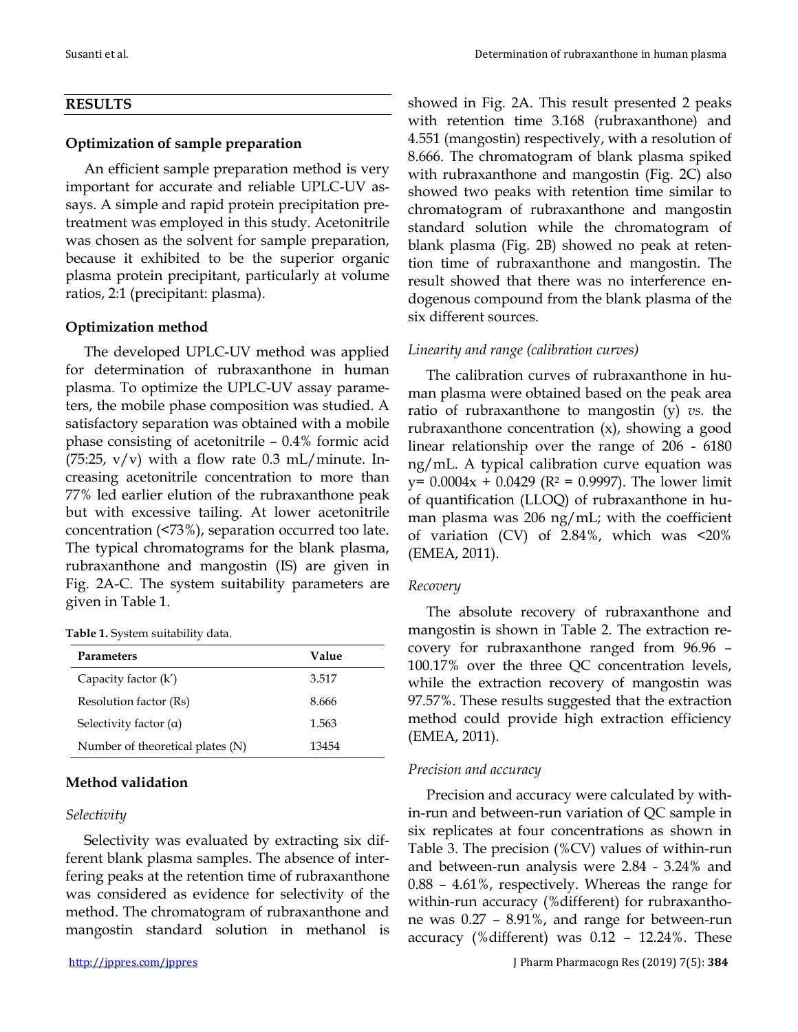#### **RESULTS**

### **Optimization of sample preparation**

An efficient sample preparation method is very important for accurate and reliable UPLC-UV assays. A simple and rapid protein precipitation pretreatment was employed in this study. Acetonitrile was chosen as the solvent for sample preparation, because it exhibited to be the superior organic plasma protein precipitant, particularly at volume ratios, 2:1 (precipitant: plasma).

# **Optimization method**

The developed UPLC-UV method was applied for determination of rubraxanthone in human plasma*.* To optimize the UPLC-UV assay parameters, the mobile phase composition was studied. A satisfactory separation was obtained with a mobile phase consisting of acetonitrile – 0.4% formic acid (75:25,  $v/v$ ) with a flow rate 0.3 mL/minute. Increasing acetonitrile concentration to more than 77% led earlier elution of the rubraxanthone peak but with excessive tailing. At lower acetonitrile concentration (<73%), separation occurred too late. The typical chromatograms for the blank plasma, rubraxanthone and mangostin (IS) are given in Fig. 2A-C. The system suitability parameters are given in Table 1.

#### **Table 1.** System suitability data.

| Parameters                       | Value |
|----------------------------------|-------|
| Capacity factor (k')             | 3.517 |
| Resolution factor (Rs)           | 8.666 |
| Selectivity factor $(\alpha)$    | 1.563 |
| Number of theoretical plates (N) | 13454 |

# **Method validation**

#### *Selectivity*

Selectivity was evaluated by extracting six different blank plasma samples. The absence of interfering peaks at the retention time of rubraxanthone was considered as evidence for selectivity of the method. The chromatogram of rubraxanthone and mangostin standard solution in methanol is showed in Fig. 2A. This result presented 2 peaks with retention time 3.168 (rubraxanthone) and 4.551 (mangostin) respectively, with a resolution of 8.666. The chromatogram of blank plasma spiked with rubraxanthone and mangostin (Fig. 2C) also showed two peaks with retention time similar to chromatogram of rubraxanthone and mangostin standard solution while the chromatogram of blank plasma (Fig. 2B) showed no peak at retention time of rubraxanthone and mangostin. The result showed that there was no interference endogenous compound from the blank plasma of the six different sources.

# *Linearity and range (calibration curves)*

The calibration curves of rubraxanthone in human plasma were obtained based on the peak area ratio of rubraxanthone to mangostin (y) *vs.* the rubraxanthone concentration (x), showing a good linear relationship over the range of 206 - 6180 ng/mL. A typical calibration curve equation was  $y= 0.0004x + 0.0429$  (R<sup>2</sup> = 0.9997). The lower limit of quantification (LLOQ) of rubraxanthone in human plasma was 206 ng/mL; with the coefficient of variation (CV) of 2.84%, which was <20% (EMEA, 2011).

# *Recovery*

The absolute recovery of rubraxanthone and mangostin is shown in Table 2. The extraction recovery for rubraxanthone ranged from 96.96 – 100.17% over the three QC concentration levels, while the extraction recovery of mangostin was 97.57%. These results suggested that the extraction method could provide high extraction efficiency (EMEA, 2011).

# *Precision and accuracy*

Precision and accuracy were calculated by within-run and between-run variation of QC sample in six replicates at four concentrations as shown in Table 3. The precision (%CV) values of within-run and between-run analysis were 2.84 - 3.24% and 0.88 – 4.61%, respectively. Whereas the range for within-run accuracy (%different) for rubraxanthone was 0.27 – 8.91%, and range for between-run accuracy (%different) was 0.12 – 12.24%. These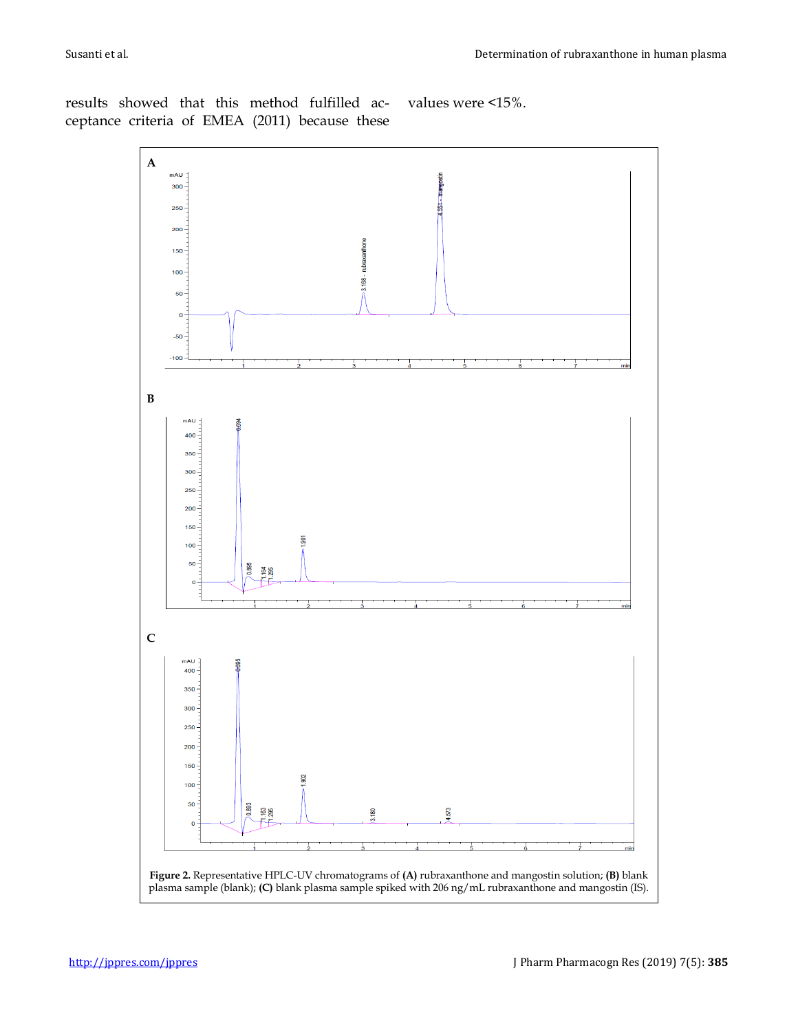results showed that this method fulfilled acceptance criteria of EMEA (2011) because these

values were <15%.

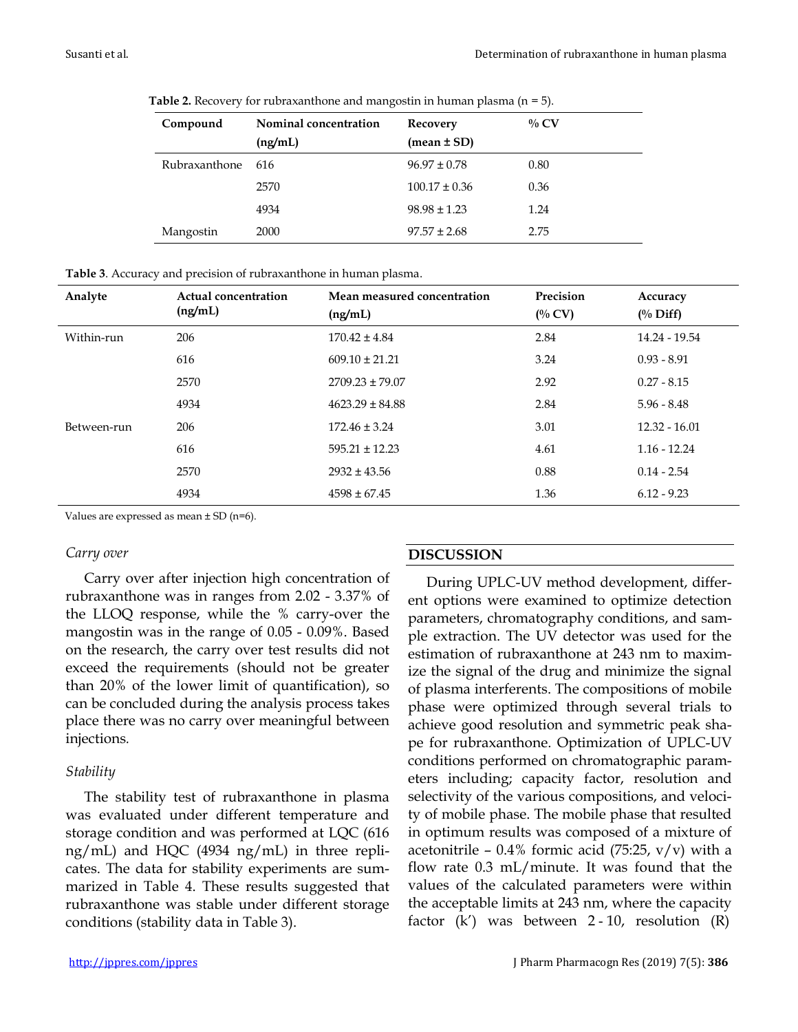| Compound      | Nominal concentration | Recovery          | $\%$ CV |
|---------------|-----------------------|-------------------|---------|
|               | (ng/mL)               | $mean \pm SD$     |         |
| Rubraxanthone | -616                  | $96.97 \pm 0.78$  | 0.80    |
|               | 2570                  | $100.17 \pm 0.36$ | 0.36    |
|               | 4934                  | $98.98 \pm 1.23$  | 1.24    |
| Mangostin     | 2000                  | $97.57 \pm 2.68$  | 2.75    |

**Table 2.** Recovery for rubraxanthone and mangostin in human plasma (n = 5).

| <b>Table 3.</b> Accuracy and precision of rubraxanthone in human plasma. |  |
|--------------------------------------------------------------------------|--|
|--------------------------------------------------------------------------|--|

| Analyte     | Actual concentration<br>(ng/mL) | Mean measured concentration | Precision | Accuracy            |
|-------------|---------------------------------|-----------------------------|-----------|---------------------|
|             |                                 | (ng/mL)                     | $($ % CV) | $\frac{0}{0}$ Diff) |
| Within-run  | 206                             | $170.42 \pm 4.84$           | 2.84      | 14.24 - 19.54       |
|             | 616                             | $609.10 \pm 21.21$          | 3.24      | $0.93 - 8.91$       |
|             | 2570                            | $2709.23 \pm 79.07$         | 2.92      | $0.27 - 8.15$       |
|             | 4934                            | $4623.29 \pm 84.88$         | 2.84      | $5.96 - 8.48$       |
| Between-run | 206                             | $172.46 \pm 3.24$           | 3.01      | $12.32 - 16.01$     |
|             | 616                             | $595.21 \pm 12.23$          | 4.61      | $1.16 - 12.24$      |
|             | 2570                            | $2932 \pm 43.56$            | 0.88      | $0.14 - 2.54$       |
|             | 4934                            | $4598 \pm 67.45$            | 1.36      | $6.12 - 9.23$       |

Values are expressed as mean  $\pm$  SD (n=6).

#### *Carry over*

Carry over after injection high concentration of rubraxanthone was in ranges from 2.02 - 3.37% of the LLOQ response, while the % carry-over the mangostin was in the range of 0.05 - 0.09%. Based on the research, the carry over test results did not exceed the requirements (should not be greater than 20% of the lower limit of quantification), so can be concluded during the analysis process takes place there was no carry over meaningful between injections*.*

#### *Stability*

The stability test of rubraxanthone in plasma was evaluated under different temperature and storage condition and was performed at LQC (616 ng/mL) and HQC (4934 ng/mL) in three replicates. The data for stability experiments are summarized in Table 4. These results suggested that rubraxanthone was stable under different storage conditions (stability data in Table 3).

#### **DISCUSSION**

During UPLC-UV method development, different options were examined to optimize detection parameters, chromatography conditions, and sample extraction. The UV detector was used for the estimation of rubraxanthone at 243 nm to maximize the signal of the drug and minimize the signal of plasma interferents. The compositions of mobile phase were optimized through several trials to achieve good resolution and symmetric peak shape for rubraxanthone. Optimization of UPLC-UV conditions performed on chromatographic parameters including; capacity factor, resolution and selectivity of the various compositions, and velocity of mobile phase. The mobile phase that resulted in optimum results was composed of a mixture of acetonitrile – 0.4% formic acid (75:25,  $v/v$ ) with a flow rate 0.3 mL/minute. It was found that the values of the calculated parameters were within the acceptable limits at 243 nm, where the capacity factor  $(k')$  was between 2 - 10, resolution  $(R)$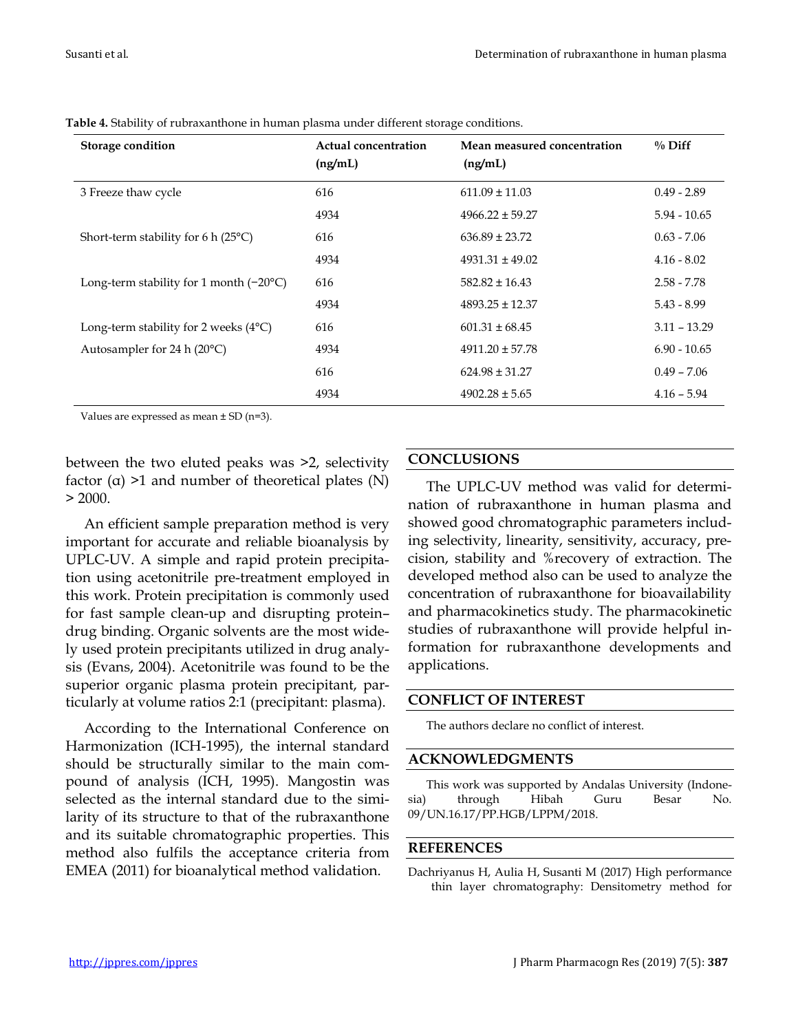| Storage condition                                | <b>Actual concentration</b><br>(ng/mL) | Mean measured concentration<br>(ng/mL) | $\%$ Diff      |
|--------------------------------------------------|----------------------------------------|----------------------------------------|----------------|
| 3 Freeze thaw cycle                              | 616                                    | $611.09 \pm 11.03$                     | $0.49 - 2.89$  |
|                                                  | 4934                                   | $4966.22 \pm 59.27$                    | $5.94 - 10.65$ |
| Short-term stability for 6 h $(25^{\circ}C)$     | 616                                    | $636.89 \pm 23.72$                     | $0.63 - 7.06$  |
|                                                  | 4934                                   | $4931.31 \pm 49.02$                    | $4.16 - 8.02$  |
| Long-term stability for 1 month $(-20^{\circ}C)$ | 616                                    | $582.82 \pm 16.43$                     | $2.58 - 7.78$  |
|                                                  | 4934                                   | $4893.25 \pm 12.37$                    | $5.43 - 8.99$  |
| Long-term stability for 2 weeks $(4^{\circ}C)$   | 616                                    | $601.31 \pm 68.45$                     | $3.11 - 13.29$ |
| Autosampler for 24 h (20°C)                      | 4934                                   | $4911.20 \pm 57.78$                    | $6.90 - 10.65$ |
|                                                  | 616                                    | $624.98 \pm 31.27$                     | $0.49 - 7.06$  |
|                                                  | 4934                                   | $4902.28 \pm 5.65$                     | $4.16 - 5.94$  |

**Table 4.** Stability of rubraxanthone in human plasma under different storage conditions.

Values are expressed as mean  $\pm$  SD (n=3).

between the two eluted peaks was >2, selectivity factor  $(\alpha)$  >1 and number of theoretical plates  $(N)$  $> 2000.$ 

An efficient sample preparation method is very important for accurate and reliable bioanalysis by UPLC-UV. A simple and rapid protein precipitation using acetonitrile pre-treatment employed in this work. Protein precipitation is commonly used for fast sample clean-up and disrupting protein– drug binding. Organic solvents are the most widely used protein precipitants utilized in drug analysis (Evans, 2004). Acetonitrile was found to be the superior organic plasma protein precipitant, particularly at volume ratios 2:1 (precipitant: plasma).

According to the International Conference on Harmonization (ICH-1995), the internal standard should be structurally similar to the main compound of analysis (ICH, 1995). Mangostin was selected as the internal standard due to the similarity of its structure to that of the rubraxanthone and its suitable chromatographic properties. This method also fulfils the acceptance criteria from EMEA (2011) for bioanalytical method validation.

#### **CONCLUSIONS**

The UPLC-UV method was valid for determination of rubraxanthone in human plasma and showed good chromatographic parameters including selectivity, linearity, sensitivity, accuracy, precision, stability and %recovery of extraction. The developed method also can be used to analyze the concentration of rubraxanthone for bioavailability and pharmacokinetics study. The pharmacokinetic studies of rubraxanthone will provide helpful information for rubraxanthone developments and applications.

#### **CONFLICT OF INTEREST**

The authors declare no conflict of interest.

#### **ACKNOWLEDGMENTS**

This work was supported by Andalas University (Indonesia) through Hibah Guru Besar No. 09/UN.16.17/PP.HGB/LPPM/2018.

#### **REFERENCES**

Dachriyanus H, Aulia H, Susanti M (2017) High performance thin layer chromatography: Densitometry method for